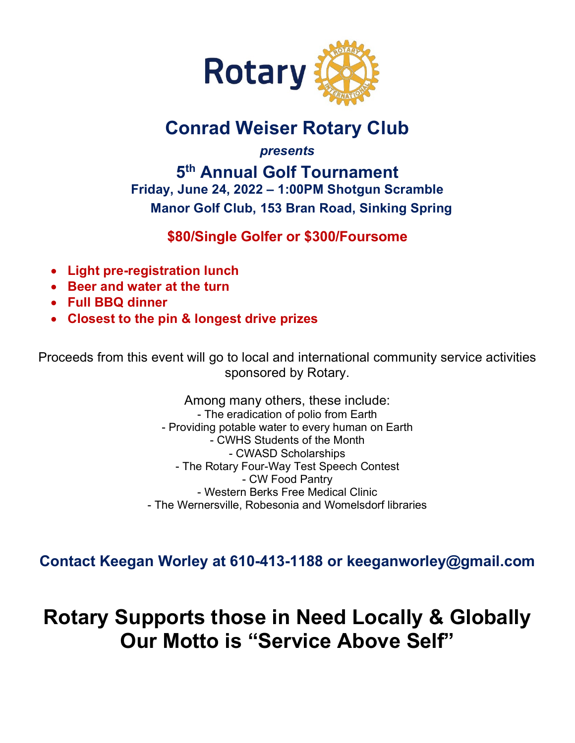

# **Conrad Weiser Rotary Club**

*presents*

**5th Annual Golf Tournament Friday, June 24, 2022 – 1:00PM Shotgun Scramble Manor Golf Club, 153 Bran Road, Sinking Spring**

## **\$80/Single Golfer or \$300/Foursome**

- **Light pre-registration lunch**
- **Beer and water at the turn**
- **Full BBQ dinner**
- **Closest to the pin & longest drive prizes**

Proceeds from this event will go to local and international community service activities sponsored by Rotary.

> Among many others, these include: - The eradication of polio from Earth - Providing potable water to every human on Earth - CWHS Students of the Month - CWASD Scholarships - The Rotary Four-Way Test Speech Contest - CW Food Pantry - Western Berks Free Medical Clinic - The Wernersville, Robesonia and Womelsdorf libraries

**Contact Keegan Worley at 610-413-1188 or [keeganworley@gmail.com](mailto:keeganworley@gmail.com)**

**Rotary Supports those in Need Locally & Globally Our Motto is "Service Above Self"**